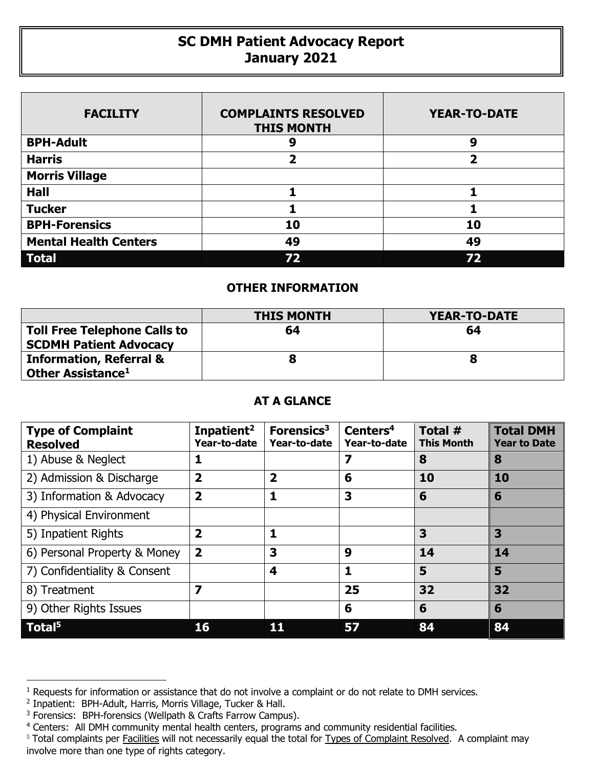## **SC DMH Patient Advocacy Report January 2021**

| <b>FACILITY</b>              | <b>COMPLAINTS RESOLVED</b><br><b>THIS MONTH</b> | <b>YEAR-TO-DATE</b> |  |  |
|------------------------------|-------------------------------------------------|---------------------|--|--|
| <b>BPH-Adult</b>             | 9                                               | 9                   |  |  |
| <b>Harris</b>                | 2                                               | 2                   |  |  |
| <b>Morris Village</b>        |                                                 |                     |  |  |
| <b>Hall</b>                  |                                                 |                     |  |  |
| <b>Tucker</b>                |                                                 |                     |  |  |
| <b>BPH-Forensics</b>         | 10                                              | 10                  |  |  |
| <b>Mental Health Centers</b> | 49                                              | 49                  |  |  |
| Total                        | 72                                              | 72                  |  |  |

## **OTHER INFORMATION**

|                                                                      | <b>THIS MONTH</b> | YEAR-TO-DATE |
|----------------------------------------------------------------------|-------------------|--------------|
| <b>Toll Free Telephone Calls to</b><br><b>SCDMH Patient Advocacy</b> | 64                | 64           |
| <b>Information, Referral &amp;</b><br>Other Assistance <sup>1</sup>  |                   | 8            |

## **AT A GLANCE**

| <b>Type of Complaint</b><br><b>Resolved</b> | Inpatient <sup>2</sup><br>Year-to-date | Forensics <sup>3</sup><br>Year-to-date | Centers <sup>4</sup><br>Year-to-date | Total $#$<br><b>This Month</b> | <b>Total DMH</b><br><b>Year to Date</b> |
|---------------------------------------------|----------------------------------------|----------------------------------------|--------------------------------------|--------------------------------|-----------------------------------------|
| 1) Abuse & Neglect                          |                                        |                                        | 7                                    | 8                              | 8                                       |
| 2) Admission & Discharge                    | $\overline{\mathbf{2}}$                | $\overline{\mathbf{2}}$                | 6                                    | 10                             | 10                                      |
| 3) Information & Advocacy                   | $\overline{\mathbf{2}}$                | 1                                      | 3                                    | 6                              | 6                                       |
| 4) Physical Environment                     |                                        |                                        |                                      |                                |                                         |
| 5) Inpatient Rights                         | $\overline{\mathbf{2}}$                | 1                                      |                                      | 3                              | 3                                       |
| 6) Personal Property & Money                | $\overline{\mathbf{2}}$                | 3                                      | 9                                    | 14                             | 14                                      |
| 7) Confidentiality & Consent                |                                        | 4                                      | 1                                    | 5                              | 5                                       |
| 8) Treatment                                | 7                                      |                                        | 25                                   | 32                             | 32                                      |
| 9) Other Rights Issues                      |                                        |                                        | 6                                    | 6                              | 6                                       |
| $\sqrt{ }$ Total <sup>5</sup>               | 16                                     |                                        | 57                                   | 84                             | 84                                      |

1

<sup>&</sup>lt;sup>1</sup> Requests for information or assistance that do not involve a complaint or do not relate to DMH services.

<sup>&</sup>lt;sup>2</sup> Inpatient: BPH-Adult, Harris, Morris Village, Tucker & Hall.

<sup>&</sup>lt;sup>3</sup> Forensics: BPH-forensics (Wellpath & Crafts Farrow Campus).

<sup>4</sup> Centers: All DMH community mental health centers, programs and community residential facilities.

<sup>&</sup>lt;sup>5</sup> Total complaints per Facilities will not necessarily equal the total for Types of Complaint Resolved. A complaint may involve more than one type of rights category.